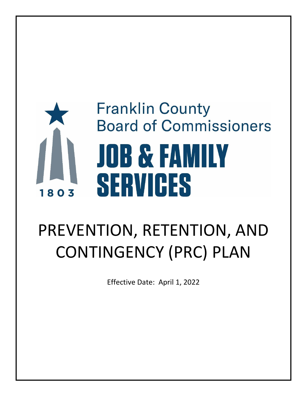# **Franklin County Board of Commissioners JOB & FAMILY** SERVICES 1803

# PREVENTION, RETENTION, AND CONTINGENCY (PRC) PLAN

Effective Date: April 1, 2022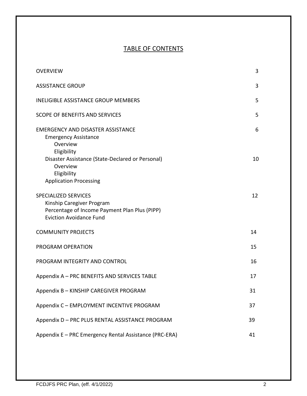# TABLE OF CONTENTS

| <b>OVERVIEW</b>                                                                                                                             | 3  |
|---------------------------------------------------------------------------------------------------------------------------------------------|----|
| <b>ASSISTANCE GROUP</b>                                                                                                                     | 3  |
| <b>INELIGIBLE ASSISTANCE GROUP MEMBERS</b>                                                                                                  | 5  |
| <b>SCOPE OF BENEFITS AND SERVICES</b>                                                                                                       | 5  |
| <b>EMERGENCY AND DISASTER ASSISTANCE</b><br><b>Emergency Assistance</b><br>Overview<br>Eligibility                                          | 6  |
| Disaster Assistance (State-Declared or Personal)<br>Overview<br>Eligibility<br><b>Application Processing</b>                                | 10 |
| <b>SPECIALIZED SERVICES</b><br>Kinship Caregiver Program<br>Percentage of Income Payment Plan Plus (PIPP)<br><b>Eviction Avoidance Fund</b> | 12 |
| <b>COMMUNITY PROJECTS</b>                                                                                                                   | 14 |
| PROGRAM OPERATION                                                                                                                           | 15 |
| PROGRAM INTEGRITY AND CONTROL                                                                                                               | 16 |
| Appendix A - PRC BENEFITS AND SERVICES TABLE                                                                                                | 17 |
| Appendix B - KINSHIP CAREGIVER PROGRAM                                                                                                      | 31 |
| Appendix C - EMPLOYMENT INCENTIVE PROGRAM                                                                                                   | 37 |
| Appendix D - PRC PLUS RENTAL ASSISTANCE PROGRAM                                                                                             | 39 |
| Appendix E - PRC Emergency Rental Assistance (PRC-ERA)                                                                                      | 41 |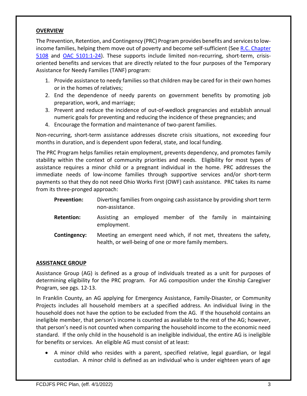### **OVERVIEW**

The Prevention, Retention, and Contingency (PRC) Program provides benefits and services to lowincome families, helping them move out of poverty and become self-sufficient (See [R.C. Chapter](https://codes.ohio.gov/ohio-revised-code/chapter-5108)  [5108](https://codes.ohio.gov/ohio-revised-code/chapter-5108) and [OAC 5101:1-24\)](https://codes.ohio.gov/ohio-administrative-code/chapter-5101:1-24). These supports include limited non-recurring, short-term, crisisoriented benefits and services that are directly related to the four purposes of the Temporary Assistance for Needy Families (TANF) program:

- 1. Provide assistance to needy families so that children may be cared for in their own homes or in the homes of relatives;
- 2. End the dependence of needy parents on government benefits by promoting job preparation, work, and marriage;
- 3. Prevent and reduce the incidence of out-of-wedlock pregnancies and establish annual numeric goals for preventing and reducing the incidence of these pregnancies; and
- 4. Encourage the formation and maintenance of two-parent families.

Non-recurring, short-term assistance addresses discrete crisis situations, not exceeding four months in duration, and is dependent upon federal, state, and local funding.

The PRC Program helps families retain employment, prevents dependency, and promotes family stability within the context of community priorities and needs. Eligibility for most types of assistance requires a minor child or a pregnant individual in the home. PRC addresses the immediate needs of low-income families through supportive services and/or short-term payments so that they do not need Ohio Works First (OWF) cash assistance. PRC takes its name from its three-pronged approach:

- **Prevention:** Diverting families from ongoing cash assistance by providing short term non-assistance.
- **Retention:** Assisting an employed member of the family in maintaining employment.
- **Contingency:** Meeting an emergent need which, if not met, threatens the safety, health, or well-being of one or more family members.

# **ASSISTANCE GROUP**

Assistance Group (AG) is defined as a group of individuals treated as a unit for purposes of determining eligibility for the PRC program. For AG composition under the Kinship Caregiver Program, see pgs. 12-13.

In Franklin County, an AG applying for Emergency Assistance, Family-Disaster, or Community Projects includes all household members at a specified address. An individual living in the household does not have the option to be excluded from the AG. If the household contains an ineligible member, that person's income is counted as available to the rest of the AG; however, that person's need is not counted when comparing the household income to the economic need standard. If the only child in the household is an ineligible individual, the entire AG is ineligible for benefits or services. An eligible AG must consist of at least:

• A minor child who resides with a parent, specified relative, legal guardian, or legal custodian. A minor child is defined as an individual who is under eighteen years of age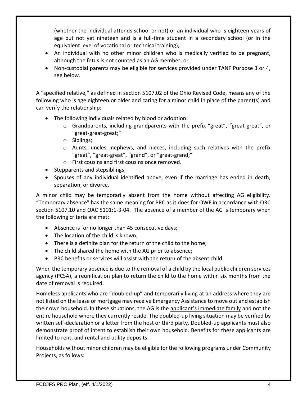(whether the individual attends school or not) or an individual who is eighteen years of age but not yet nineteen and is a full-time student in a secondary school (or in the equivalent level of vocational or technical training);

- An individual with no other minor children who is medically verified to be pregnant, although the fetus is not counted as an AG member; or
- Non-custodial parents may be eligible for services provided under TANF Purpose 3 or 4, see below.

A "specified relative," as defined in section 5107.02 of the Ohio Revised Code, means any of the following who is age eighteen or older and caring for a minor child in place of the parent(s) and can verify the relationship:

- The following individuals related by blood or adoption:
	- $\circ$  Grandparents, including grandparents with the prefix "great", "great-great", or "great-great-great;"
	- o Siblings;
	- o Aunts, uncles, nephews, and nieces, including such relatives with the prefix "great", "great-great", "grand", or "great-grand;"
	- o First cousins and first cousins once removed.
- Stepparents and stepsiblings;
- Spouses of any individual identified above, even if the marriage has ended in death, separation, or divorce.

A minor child may be temporarily absent from the home without affecting AG eligibility. "Temporary absence" has the same meaning for PRC as it does for OWF in accordance with ORC section 5107.10 and OAC 5101:1-3-04. The absence of a member of the AG is temporary when the following criteria are met:

- Absence is for no longer than 45 consecutive days;
- The location of the child is known;
- There is a definite plan for the return of the child to the home;
- The child shared the home with the AG prior to absence;
- PRC benefits or services will assist with the return of the absent child.

When the temporary absence is due to the removal of a child by the local public children services agency (PCSA), a reunification plan to return the child to the home within six months from the date of removal is required.

Homeless applicants who are "doubled-up" and temporarily living at an address where they are not listed on the lease or mortgage may receive Emergency Assistance to move out and establish their own household. In these situations, the AG is the applicant's immediate family and not the entire household where they currently reside. The doubled-up living situation may be verified by written self-declaration or a letter from the host or third party. Doubled-up applicants must also demonstrate proof of intent to establish their own household. Benefits for these applicants are limited to rent, and rental and utility deposits.

Households without minor children may be eligible for the following programs under Community Projects, as follows: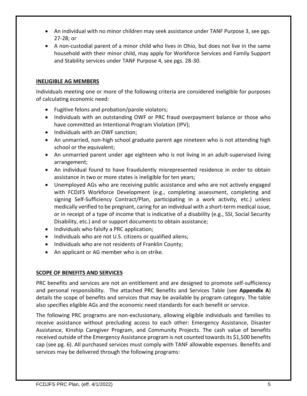- An individual with no minor children may seek assistance under TANF Purpose 3, see pgs. 27-28; or
- A non-custodial parent of a minor child who lives in Ohio, but does not live in the same household with their minor child, may apply for Workforce Services and Family Support and Stability services under TANF Purpose 4, see pgs. 28-30.

# **INELIGIBLE AG MEMBERS**

Individuals meeting one or more of the following criteria are considered ineligible for purposes of calculating economic need:

- Fugitive felons and probation/parole violators;
- Individuals with an outstanding OWF or PRC fraud overpayment balance or those who have committed an Intentional Program Violation (IPV);
- Individuals with an OWF sanction;
- An unmarried, non-high school graduate parent age nineteen who is not attending high school or the equivalent;
- An unmarried parent under age eighteen who is not living in an adult-supervised living arrangement;
- An individual found to have fraudulently misrepresented residence in order to obtain assistance in two or more states is ineligible for ten years;
- Unemployed AGs who are receiving public assistance and who are not actively engaged with FCDJFS Workforce Development (e.g., completing assessment, completing and signing Self-Sufficiency Contract/Plan, participating in a work activity, etc.) unless medically verified to be pregnant, caring for an individual with a short-term medical issue, or in receipt of a type of income that is indicative of a disability (e.g., SSI, Social Security Disability, etc.) and or support documents to obtain assistance;
- Individuals who falsify a PRC application;
- Individuals who are not U.S. citizens or qualified aliens;
- Individuals who are not residents of Franklin County;
- An applicant or AG member who is on strike.

# **SCOPE OF BENEFITS AND SERVICES**

PRC benefits and services are not an entitlement and are designed to promote self-sufficiency and personal responsibility. The attached PRC Benefits and Services Table (see **Appendix A**) details the scope of benefits and services that may be available by program category. The table also specifies eligible AGs and the economic need standards for each benefit or service.

The following PRC programs are non-exclusionary, allowing eligible individuals and families to receive assistance without precluding access to each other: Emergency Assistance, Disaster Assistance, Kinship Caregiver Program, and Community Projects. The cash value of benefits received outside of the Emergency Assistance program is not counted towards its \$1,500 benefits cap (see pg. 6). All purchased services must comply with TANF allowable expenses. Benefits and services may be delivered through the following programs: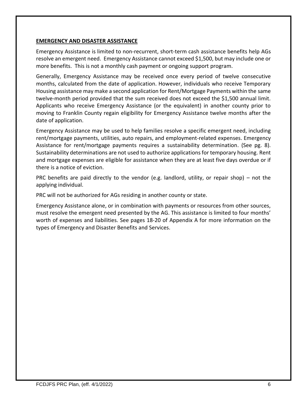### **EMERGENCY AND DISASTER ASSISTANCE**

Emergency Assistance is limited to non-recurrent, short-term cash assistance benefits help AGs resolve an emergent need. Emergency Assistance cannot exceed \$1,500, but may include one or more benefits. This is not a monthly cash payment or ongoing support program.

Generally, Emergency Assistance may be received once every period of twelve consecutive months, calculated from the date of application. However, individuals who receive Temporary Housing assistance may make a second application for Rent/Mortgage Payments within the same twelve-month period provided that the sum received does not exceed the \$1,500 annual limit. Applicants who receive Emergency Assistance (or the equivalent) in another county prior to moving to Franklin County regain eligibility for Emergency Assistance twelve months after the date of application.

Emergency Assistance may be used to help families resolve a specific emergent need, including rent/mortgage payments, utilities, auto repairs, and employment-related expenses. Emergency Assistance for rent/mortgage payments requires a sustainability determination. (See pg. 8). Sustainability determinations are not used to authorize applications for temporary housing. Rent and mortgage expenses are eligible for assistance when they are at least five days overdue or if there is a notice of eviction.

PRC benefits are paid directly to the vendor (e.g. landlord, utility, or repair shop) – not the applying individual.

PRC will not be authorized for AGs residing in another county or state.

Emergency Assistance alone, or in combination with payments or resources from other sources, must resolve the emergent need presented by the AG. This assistance is limited to four months' worth of expenses and liabilities. See pages 18-20 of Appendix A for more information on the types of Emergency and Disaster Benefits and Services.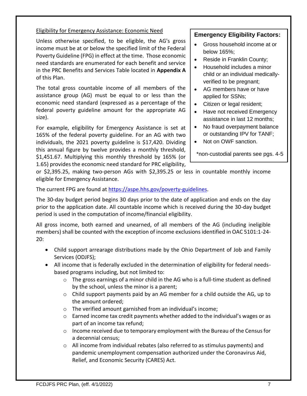# Eligibility for Emergency Assistance: Economic Need

Unless otherwise specified, to be eligible, the AG's gross income must be at or below the specified limit of the Federal Poverty Guideline (FPG) in effect at the time. Those economic need standards are enumerated for each benefit and service in the PRC Benefits and Services Table located in **Appendix A** of this Plan.

The total gross countable income of all members of the assistance group (AG) must be equal to or less than the economic need standard (expressed as a percentage of the federal poverty guideline amount for the appropriate AG size).

For example, eligibility for Emergency Assistance is set at 165% of the federal poverty guideline. For an AG with two individuals, the 2021 poverty guideline is \$17,420. Dividing this annual figure by twelve provides a monthly threshold, \$1,451.67. Multiplying this monthly threshold by 165% (or 1.65) provides the economic need standard for PRC eligibility,

# **Emergency Eligibility Factors:**

- Gross household income at or below 165%;
- Reside in Franklin County;
- Household includes a minor child or an individual medicallyverified to be pregnant;
- AG members have or have applied for SSNs;
- Citizen or legal resident;
- Have not received Emergency assistance in last 12 months;
- No fraud overpayment balance or outstanding IPV for TANF;
- Not on OWF sanction.

\*non-custodial parents see pgs. 4-5

or \$2,395.25, making two-person AGs with \$2,395.25 or less in countable monthly income eligible for Emergency Assistance.

The current FPG are found at [https://aspe.hhs.gov/poverty-guidelines.](https://aspe.hhs.gov/poverty-guidelines)

The 30-day budget period begins 30 days prior to the date of application and ends on the day prior to the application date. All countable income which is received during the 30-day budget period is used in the computation of income/financial eligibility.

All gross income, both earned and unearned, of all members of the AG (including ineligible members) shall be counted with the exception of income exclusions identified in OAC 5101:1-24- 20:

- Child support arrearage distributions made by the Ohio Department of Job and Family Services (ODJFS);
- All income that is federally excluded in the determination of eligibility for federal needsbased programs including, but not limited to:
	- $\circ$  The gross earnings of a minor child in the AG who is a full-time student as defined by the school, unless the minor is a parent;
	- o Child support payments paid by an AG member for a child outside the AG, up to the amount ordered;
	- o The verified amount garnished from an individual's income;
	- o Earned income tax credit payments whether added to the individual's wages or as part of an income tax refund;
	- $\circ$  Income received due to temporary employment with the Bureau of the Census for a decennial census;
	- $\circ$  All income from individual rebates (also referred to as stimulus payments) and pandemic unemployment compensation authorized under the Coronavirus Aid, Relief, and Economic Security (CARES) Act.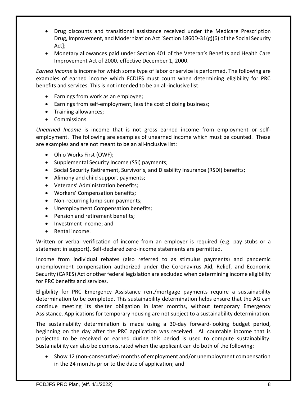- Drug discounts and transitional assistance received under the Medicare Prescription Drug, Improvement, and Modernization Act [Section 1860D-31(g)(6) of the Social Security Act];
- Monetary allowances paid under Section 401 of the Veteran's Benefits and Health Care Improvement Act of 2000, effective December 1, 2000.

*Earned Income* is income for which some type of labor or service is performed. The following are examples of earned income which FCDJFS must count when determining eligibility for PRC benefits and services. This is not intended to be an all-inclusive list:

- Earnings from work as an employee;
- Earnings from self-employment, less the cost of doing business;
- Training allowances;
- Commissions.

*Unearned Income* is income that is not gross earned income from employment or selfemployment. The following are examples of unearned income which must be counted. These are examples and are not meant to be an all-inclusive list:

- Ohio Works First (OWF);
- Supplemental Security Income (SSI) payments;
- Social Security Retirement, Survivor's, and Disability Insurance (RSDI) benefits;
- Alimony and child support payments;
- Veterans' Administration benefits;
- Workers' Compensation benefits;
- Non-recurring lump-sum payments;
- Unemployment Compensation benefits;
- Pension and retirement benefits;
- Investment income; and
- Rental income.

Written or verbal verification of income from an employer is required (e.g. pay stubs or a statement in support). Self-declared zero-income statements are permitted.

Income from individual rebates (also referred to as stimulus payments) and pandemic unemployment compensation authorized under the Coronavirus Aid, Relief, and Economic Security (CARES) Act or other federal legislation are excluded when determining income eligibility for PRC benefits and services.

Eligibility for PRC Emergency Assistance rent/mortgage payments require a sustainability determination to be completed. This sustainability determination helps ensure that the AG can continue meeting its shelter obligation in later months, without temporary Emergency Assistance. Applications for temporary housing are not subject to a sustainability determination.

The sustainability determination is made using a 30-day forward-looking budget period, beginning on the day after the PRC application was received. All countable income that is projected to be received or earned during this period is used to compute sustainability. Sustainability can also be demonstrated when the applicant can do both of the following:

• Show 12 (non-consecutive) months of employment and/or unemployment compensation in the 24 months prior to the date of application; and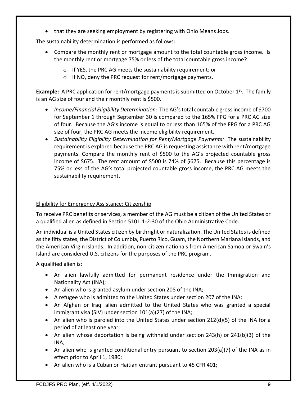• that they are seeking employment by registering with Ohio Means Jobs.

The sustainability determination is performed as follows:

- Compare the monthly rent or mortgage amount to the total countable gross income. Is the monthly rent or mortgage 75% or less of the total countable gross income?
	- o If YES, the PRC AG meets the sustainability requirement; or
	- o If NO, deny the PRC request for rent/mortgage payments.

**Example:** A PRC application for rent/mortgage payments is submitted on October 1<sup>st</sup>. The family is an AG size of four and their monthly rent is \$500.

- *Income/Financial Eligibility Determination:* The AG's total countable gross income of \$700 for September 1 through September 30 is compared to the 165% FPG for a PRC AG size of four. Because the AG's income is equal to or less than 165% of the FPG for a PRC AG size of four, the PRC AG meets the income eligibility requirement.
- *Sustainability Eligibility Determination for Rent/Mortgage Payments:* The sustainability requirement is explored because the PRC AG is requesting assistance with rent/mortgage payments. Compare the monthly rent of \$500 to the AG's projected countable gross income of \$675. The rent amount of \$500 is 74% of \$675. Because this percentage is 75% or less of the AG's total projected countable gross income, the PRC AG meets the sustainability requirement.

# Eligibility for Emergency Assistance: Citizenship

To receive PRC benefits or services, a member of the AG must be a citizen of the United States or a qualified alien as defined in Section 5101:1-2-30 of the Ohio Administrative Code.

An individual is a United States citizen by birthright or naturalization. The United States is defined as the fifty states, the District of Columbia, Puerto Rico, Guam, the Northern Mariana Islands, and the American Virgin Islands. In addition, non-citizen nationals from American Samoa or Swain's Island are considered U.S. citizens for the purposes of the PRC program.

A qualified alien is:

- An alien lawfully admitted for permanent residence under the Immigration and Nationality Act (INA);
- An alien who is granted asylum under section 208 of the INA;
- A refugee who is admitted to the United States under section 207 of the INA;
- An Afghan or Iraqi alien admitted to the United States who was granted a special immigrant visa (SIV) under section 101(a)(27) of the INA;
- An alien who is paroled into the United States under section 212(d)(5) of the INA for a period of at least one year;
- An alien whose deportation is being withheld under section 243(h) or 241(b)(3) of the INA;
- An alien who is granted conditional entry pursuant to section 203(a)(7) of the INA as in effect prior to April 1, 1980;
- An alien who is a Cuban or Haitian entrant pursuant to 45 CFR 401;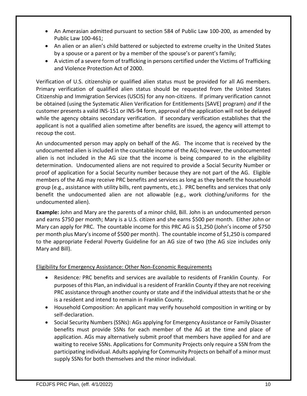- An Amerasian admitted pursuant to section 584 of Public Law 100-200, as amended by Public Law 100-461;
- An alien or an alien's child battered or subjected to extreme cruelty in the United States by a spouse or a parent or by a member of the spouse's or parent's family;
- A victim of a severe form of trafficking in persons certified under the Victims of Trafficking and Violence Protection Act of 2000.

Verification of U.S. citizenship or qualified alien status must be provided for all AG members. Primary verification of qualified alien status should be requested from the United States Citizenship and Immigration Services (USCIS) for any non-citizens. If primary verification cannot be obtained (using the Systematic Alien Verification for Entitlements [SAVE] program) *and* if the customer presents a valid INS-151 or INS-94 form, approval of the application will not be delayed while the agency obtains secondary verification. If secondary verification establishes that the applicant is not a qualified alien sometime after benefits are issued, the agency will attempt to recoup the cost.

An undocumented person may apply on behalf of the AG. The income that is received by the undocumented alien is included in the countable income of the AG; however, the undocumented alien is not included in the AG size that the income is being compared to in the eligibility determination. Undocumented aliens are not required to provide a Social Security Number or proof of application for a Social Security number because they are not part of the AG. Eligible members of the AG may receive PRC benefits and services as long as they benefit the household group (e.g., assistance with utility bills, rent payments, etc.). PRC benefits and services that only benefit the undocumented alien are not allowable (e.g., work clothing/uniforms for the undocumented alien).

**Example:** John and Mary are the parents of a minor child, Bill. John is an undocumented person and earns \$750 per month; Mary is a U.S. citizen and she earns \$500 per month. Either John or Mary can apply for PRC. The countable income for this PRC AG is \$1,250 (John's income of \$750 per month plus Mary's income of \$500 per month). The countable income of \$1,250 is compared to the appropriate Federal Poverty Guideline for an AG size of two (the AG size includes only Mary and Bill).

# Eligibility for Emergency Assistance: Other Non-Economic Requirements

- Residence*:* PRC benefits and services are available to residents of Franklin County. For purposes of this Plan, an individual is a resident of Franklin County if they are not receiving PRC assistance through another county or state and if the individual attests that he or she is a resident and intend to remain in Franklin County.
- Household Composition: An applicant may verify household composition in writing or by self-declaration.
- Social Security Numbers (SSNs): AGs applying for Emergency Assistance or Family Disaster benefits must provide SSNs for each member of the AG at the time and place of application. AGs may alternatively submit proof that members have applied for and are waiting to receive SSNs. Applications for Community Projects only require a SSN from the participating individual. Adults applying for Community Projects on behalf of a minor must supply SSNs for both themselves and the minor individual.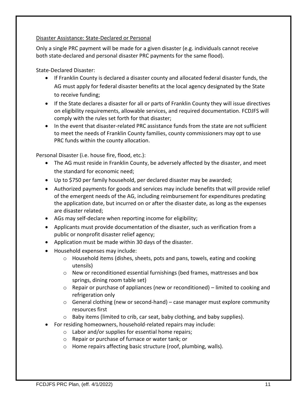### Disaster Assistance: State-Declared or Personal

Only a single PRC payment will be made for a given disaster (e.g. individuals cannot receive both state-declared and personal disaster PRC payments for the same flood).

State-Declared Disaster:

- If Franklin County is declared a disaster county and allocated federal disaster funds, the AG must apply for federal disaster benefits at the local agency designated by the State to receive funding;
- If the State declares a disaster for all or parts of Franklin County they will issue directives on eligibility requirements, allowable services, and required documentation. FCDJFS will comply with the rules set forth for that disaster;
- In the event that disaster-related PRC assistance funds from the state are not sufficient to meet the needs of Franklin County families, county commissioners may opt to use PRC funds within the county allocation.

Personal Disaster (i.e. house fire, flood, etc.):

- The AG must reside in Franklin County, be adversely affected by the disaster, and meet the standard for economic need;
- Up to \$750 per family household, per declared disaster may be awarded;
- Authorized payments for goods and services may include benefits that will provide relief of the emergent needs of the AG, including reimbursement for expenditures predating the application date, but incurred on or after the disaster date, as long as the expenses are disaster related;
- AGs may self-declare when reporting income for eligibility;
- Applicants must provide documentation of the disaster, such as verification from a public or nonprofit disaster relief agency;
- Application must be made within 30 days of the disaster.
- Household expenses may include:
	- o Household items (dishes, sheets, pots and pans, towels, eating and cooking utensils)
	- $\circ$  New or reconditioned essential furnishings (bed frames, mattresses and box springs, dining room table set)
	- $\circ$  Repair or purchase of appliances (new or reconditioned) limited to cooking and refrigeration only
	- o General clothing (new or second-hand) case manager must explore community resources first
	- o Baby items (limited to crib, car seat, baby clothing, and baby supplies).
- For residing homeowners, household-related repairs may include:
	- o Labor and/or supplies for essential home repairs;
	- o Repair or purchase of furnace or water tank; or
	- o Home repairs affecting basic structure (roof, plumbing, walls).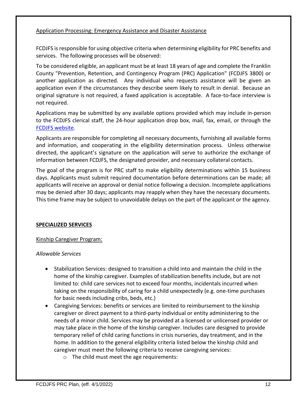### Application Processing: Emergency Assistance and Disaster Assistance

FCDJFS is responsible for using objective criteria when determining eligibility for PRC benefits and services. The following processes will be observed:

To be considered eligible, an applicant must be at least 18 years of age and complete the Franklin County "Prevention, Retention, and Contingency Program (PRC) Application" (FCDJFS 3800) or another application as directed. Any individual who requests assistance will be given an application even if the circumstances they describe seem likely to result in denial. Because an original signature is not required, a faxed application is acceptable. A face-to-face interview is not required.

Applications may be submitted by any available options provided which may include in-person to the FCDJFS clerical staff, the 24-hour application drop box, mail, fax, email, or through the [FCDJFS website.](https://jfs.franklincountyohio.gov/how-to-apply-for-emergency-assistance-(prc))

Applicants are responsible for completing all necessary documents, furnishing all available forms and information, and cooperating in the eligibility determination process. Unless otherwise directed, the applicant's signature on the application will serve to authorize the exchange of information between FCDJFS, the designated provider, and necessary collateral contacts.

The goal of the program is for PRC staff to make eligibility determinations within 15 business days. Applicants must submit required documentation before determinations can be made; all applicants will receive an approval or denial notice following a decision. Incomplete applications may be denied after 30 days; applicants may reapply when they have the necessary documents. This time frame may be subject to unavoidable delays on the part of the applicant or the agency.

# **SPECIALIZED SERVICES**

# Kinship Caregiver Program:

# *Allowable Services*

- Stabilization Services: designed to transition a child into and maintain the child in the home of the kinship caregiver. Examples of stabilization benefits include, but are not limited to: child care services not to exceed four months, incidentals incurred when taking on the responsibility of caring for a child unexpectedly (e.g. one-time purchases for basic needs including cribs, beds, etc.)
- Caregiving Services: benefits or services are limited to reimbursement to the kinship caregiver or direct payment to a third-party individual or entity administering to the needs of a minor child. Services may be provided at a licensed or unlicensed provider or may take place in the home of the kinship caregiver. Includes care designed to provide temporary relief of child caring functions in crisis nurseries, day treatment, and in the home. In addition to the general eligibility criteria listed below the kinship child and caregiver must meet the following criteria to receive caregiving services:
	- o The child must meet the age requirements: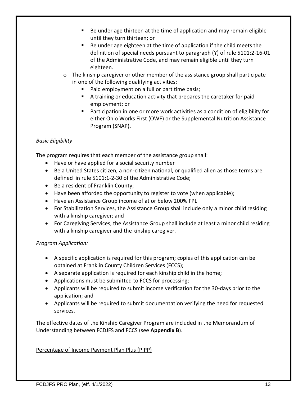- Be under age thirteen at the time of application and may remain eligible until they turn thirteen; or
- Be under age eighteen at the time of application if the child meets the definition of special needs pursuant to paragraph (Y) of rule 5101:2-16-01 of the Administrative Code, and may remain eligible until they turn eighteen.
- $\circ$  The kinship caregiver or other member of the assistance group shall participate in one of the following qualifying activities:
	- Paid employment on a full or part time basis;
	- A training or education activity that prepares the caretaker for paid employment; or
	- Participation in one or more work activities as a condition of eligibility for either Ohio Works First (OWF) or the Supplemental Nutrition Assistance Program (SNAP).

# *Basic Eligibility*

The program requires that each member of the assistance group shall:

- Have or have applied for a social security number
- Be a United States citizen, a non-citizen national, or qualified alien as those terms are defined in rule 5101:1-2-30 of the Administrative Code;
- Be a resident of Franklin County;
- Have been afforded the opportunity to register to vote (when applicable);
- Have an Assistance Group income of at or below 200% FPL
- For Stabilization Services, the Assistance Group shall include only a minor child residing with a kinship caregiver; and
- For Caregiving Services, the Assistance Group shall include at least a minor child residing with a kinship caregiver and the kinship caregiver.

# *Program Application:*

- A specific application is required for this program; copies of this application can be obtained at Franklin County Children Services (FCCS);
- A separate application is required for each kinship child in the home;
- Applications must be submitted to FCCS for processing;
- Applicants will be required to submit income verification for the 30-days prior to the application; and
- Applicants will be required to submit documentation verifying the need for requested services.

The effective dates of the Kinship Caregiver Program are included in the Memorandum of Understanding between FCDJFS and FCCS (see **Appendix B**).

# Percentage of Income Payment Plan Plus (PIPP)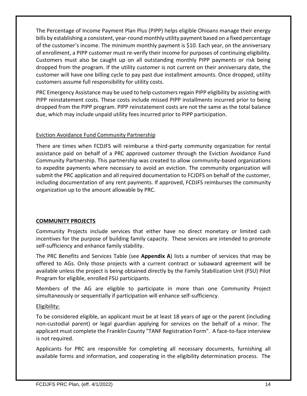The Percentage of Income Payment Plan Plus (PIPP) helps eligible Ohioans manage their energy bills by establishing a consistent, year-round monthly utility payment based on a fixed percentage of the customer's income. The minimum monthly payment is \$10. Each year, on the anniversary of enrollment, a PIPP customer must re-verify their income for purposes of continuing eligibility. Customers must also be caught up on all outstanding monthly PIPP payments or risk being dropped from the program. If the utility customer is not current on their anniversary date, the customer will have one billing cycle to pay past due installment amounts. Once dropped, utility customers assume full responsibility for utility costs.

PRC Emergency Assistance may be used to help customers regain PIPP eligibility by assisting with PIPP reinstatement costs. These costs include missed PIPP installments incurred prior to being dropped from the PIPP program. PIPP reinstatement costs are not the same as the total balance due, which may include unpaid utility fees incurred prior to PIPP participation.

# Eviction Avoidance Fund Community Partnership

There are times when FCDJFS will reimburse a third-party community organization for rental assistance paid on behalf of a PRC approved customer through the Eviction Avoidance Fund Community Partnership. This partnership was created to allow community-based organizations to expedite payments where necessary to avoid an eviction. The community organization will submit the PRC application and all required documentation to FCJDFS on behalf of the customer, including documentation of any rent payments. If approved, FCDJFS reimburses the community organization up to the amount allowable by PRC.

# **COMMUNITY PROJECTS**

Community Projects include services that either have no direct monetary or limited cash incentives for the purpose of building family capacity. These services are intended to promote self-sufficiency and enhance family stability.

The PRC Benefits and Services Table (see **Appendix A**) lists a number of services that may be offered to AGs. Only those projects with a current contract or subaward agreement will be available unless the project is being obtained directly by the Family Stabilization Unit (FSU) Pilot Program for eligible, enrolled FSU participants.

Members of the AG are eligible to participate in more than one Community Project simultaneously or sequentially if participation will enhance self-sufficiency.

# Eligibility:

To be considered eligible, an applicant must be at least 18 years of age or the parent (including non-custodial parent) or legal guardian applying for services on the behalf of a minor. The applicant must complete the Franklin County "TANF Registration Form". A face-to-face interview is not required.

Applicants for PRC are responsible for completing all necessary documents, furnishing all available forms and information, and cooperating in the eligibility determination process. The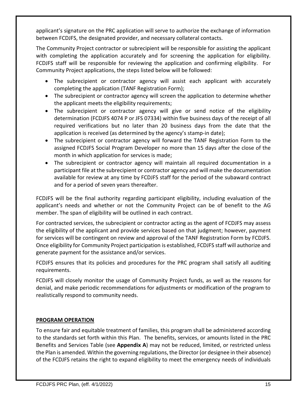applicant's signature on the PRC application will serve to authorize the exchange of information between FCDJFS, the designated provider, and necessary collateral contacts.

The Community Project contractor or subrecipient will be responsible for assisting the applicant with completing the application accurately and for screening the application for eligibility. FCDJFS staff will be responsible for reviewing the application and confirming eligibility. For Community Project applications, the steps listed below will be followed:

- The subrecipient or contractor agency will assist each applicant with accurately completing the application (TANF Registration Form);
- The subrecipient or contractor agency will screen the application to determine whether the applicant meets the eligibility requirements;
- The subrecipient or contractor agency will give or send notice of the eligibility determination (FCDJFS 4074 P or JFS 07334) within five business days of the receipt of all required verifications but no later than 20 business days from the date that the application is received (as determined by the agency's stamp-in date);
- The subrecipient or contractor agency will forward the TANF Registration Form to the assigned FCDJFS Social Program Developer no more than 15 days after the close of the month in which application for services is made;
- The subrecipient or contractor agency will maintain all required documentation in a participant file at the subrecipient or contractor agency and will make the documentation available for review at any time by FCDJFS staff for the period of the subaward contract and for a period of seven years thereafter.

FCDJFS will be the final authority regarding participant eligibility, including evaluation of the applicant's needs and whether or not the Community Project can be of benefit to the AG member. The span of eligibility will be outlined in each contract.

For contracted services, the subrecipient or contractor acting as the agent of FCDJFS may assess the eligibility of the applicant and provide services based on that judgment; however, payment for services will be contingent on review and approval of the TANF Registration Form by FCDJFS. Once eligibility for Community Project participation is established, FCDJFS staff will authorize and generate payment for the assistance and/or services.

FCDJFS ensures that its policies and procedures for the PRC program shall satisfy all auditing requirements.

FCDJFS will closely monitor the usage of Community Project funds, as well as the reasons for denial, and make periodic recommendations for adjustments or modification of the program to realistically respond to community needs.

# **PROGRAM OPERATION**

To ensure fair and equitable treatment of families, this program shall be administered according to the standards set forth within this Plan. The benefits, services, or amounts listed in the PRC Benefits and Services Table (see **Appendix A**) may not be reduced, limited, or restricted unless the Plan is amended. Within the governing regulations, the Director (or designee in their absence) of the FCDJFS retains the right to expand eligibility to meet the emergency needs of individuals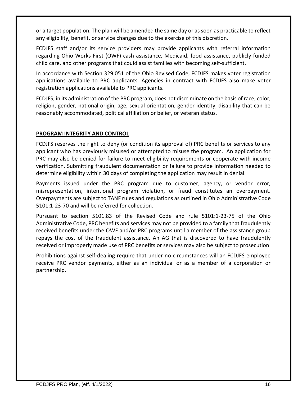or a target population. The plan will be amended the same day or as soon as practicable to reflect any eligibility, benefit, or service changes due to the exercise of this discretion.

FCDJFS staff and/or its service providers may provide applicants with referral information regarding Ohio Works First (OWF) cash assistance, Medicaid, food assistance, publicly funded child care, and other programs that could assist families with becoming self-sufficient.

In accordance with Section 329.051 of the Ohio Revised Code, FCDJFS makes voter registration applications available to PRC applicants. Agencies in contract with FCDJFS also make voter registration applications available to PRC applicants.

FCDJFS, in its administration of the PRC program, does not discriminate on the basis of race, color, religion, gender, national origin, age, sexual orientation, gender identity, disability that can be reasonably accommodated, political affiliation or belief, or veteran status.

# **PROGRAM INTEGRITY AND CONTROL**

FCDJFS reserves the right to deny (or condition its approval of) PRC benefits or services to any applicant who has previously misused or attempted to misuse the program. An application for PRC may also be denied for failure to meet eligibility requirements or cooperate with income verification. Submitting fraudulent documentation or failure to provide information needed to determine eligibility within 30 days of completing the application may result in denial.

Payments issued under the PRC program due to customer, agency, or vendor error, misrepresentation, intentional program violation, or fraud constitutes an overpayment. Overpayments are subject to TANF rules and regulations as outlined in Ohio Administrative Code 5101:1-23-70 and will be referred for collection.

Pursuant to section 5101.83 of the Revised Code and rule 5101:1-23-75 of the Ohio Administrative Code, PRC benefits and services may not be provided to a family that fraudulently received benefits under the OWF and/or PRC programs until a member of the assistance group repays the cost of the fraudulent assistance. An AG that is discovered to have fraudulently received or improperly made use of PRC benefits or services may also be subject to prosecution.

Prohibitions against self-dealing require that under no circumstances will an FCDJFS employee receive PRC vendor payments, either as an individual or as a member of a corporation or partnership.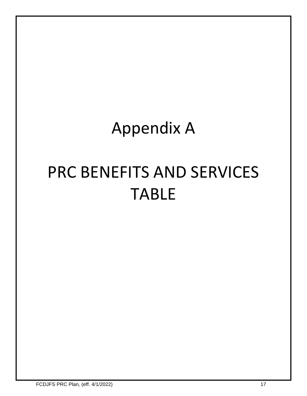# Appendix A

# PRC BENEFITS AND SERVICES TABLE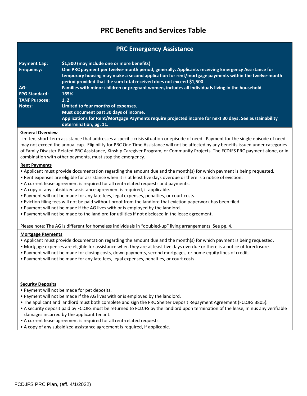# **PRC Benefits and Services Table**

# **PRC Emergency Assistance**

| <b>Payment Cap:</b><br><b>Frequency:</b> | \$1,500 (may include one or more benefits)<br>One PRC payment per twelve-month period, generally. Applicants receiving Emergency Assistance for<br>temporary housing may make a second application for rent/mortgage payments within the twelve-month<br>period provided that the sum total received does not exceed \$1,500 |
|------------------------------------------|------------------------------------------------------------------------------------------------------------------------------------------------------------------------------------------------------------------------------------------------------------------------------------------------------------------------------|
| AG:<br><b>FPG Standard:</b>              | Families with minor children or pregnant women, includes all individuals living in the household<br>165%                                                                                                                                                                                                                     |
| <b>TANF Purpose:</b>                     | 1, 2                                                                                                                                                                                                                                                                                                                         |
| Notes:                                   | Limited to four months of expenses.<br>Must document past 30 days of income.<br>Applications for Rent/Mortgage Payments require projected income for next 30 days. See Sustainability<br>determination, pg. 11.                                                                                                              |

#### **General Overview**

Limited, short-term assistance that addresses a specific crisis situation or episode of need. Payment for the single episode of need may not exceed the annual cap. Eligibility for PRC One Time Assistance will not be affected by any benefits issued under categories of Family Disaster-Related PRC Assistance, Kinship Caregiver Program, or Community Projects. The FCDJFS PRC payment alone, or in combination with other payments, must stop the emergency.

#### **Rent Payments**

- Applicant must provide documentation regarding the amount due and the month(s) for which payment is being requested.
- Rent expenses are eligible for assistance when it is at least five days overdue or there is a notice of eviction.
- A current lease agreement is required for all rent-related requests and payments.
- A copy of any subsidized assistance agreement is required, if applicable.
- Payment will not be made for any late fees, legal expenses, penalties, or court costs.
- Eviction filing fees will not be paid without proof from the landlord that eviction paperwork has been filed.
- Payment will not be made if the AG lives with or is employed by the landlord.
- Payment will not be made to the landlord for utilities if not disclosed in the lease agreement.

Please note: The AG is different for homeless individuals in "doubled-up" living arrangements. See pg. 4.

#### **Mortgage Payments**

- Applicant must provide documentation regarding the amount due and the month(s) for which payment is being requested.
- Mortgage expenses are eligible for assistance when they are at least five days overdue or there is a notice of foreclosure.
- Payment will not be made for closing costs, down payments, second mortgages, or home equity lines of credit.
- Payment will not be made for any late fees, legal expenses, penalties, or court costs.

#### **Security Deposits**

- Payment will not be made for pet deposits.
- Payment will not be made if the AG lives with or is employed by the landlord.
- The applicant and landlord must both complete and sign the PRC Shelter Deposit Repayment Agreement (FCDJFS 3805).
- A security deposit paid by FCDJFS must be returned to FCDJFS by the landlord upon termination of the lease, minus any verifiable damages incurred by the applicant tenant.
- A current lease agreement is required for all rent-related requests.
- A copy of any subsidized assistance agreement is required, if applicable.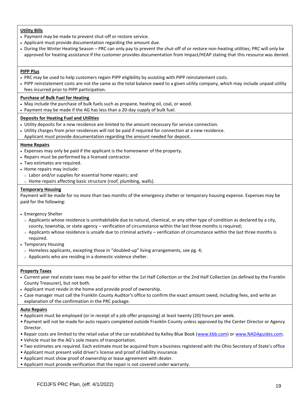#### **Utility Bills**

- Payment may be made to prevent shut-off or restore service.
- Applicant must provide documentation regarding the amount due.
- During the Winter Heating Season PRC can only pay to prevent the shut-off of or restore non-heating utilities; PRC will only be approved for heating assistance if the customer provides documentation from Impact/HEAP stating that this resource was denied.

#### **PIPP Plus**

- PRC may be used to help customers regain PIPP eligibility by assisting with PIPP reinstatement costs.
- PIPP reinstatement costs are not the same as the total balance owed to a given utility company, which may include unpaid utility fees incurred prior to PIPP participation.

#### **Purchase of Bulk Fuel for Heating**

- May include the purchase of bulk fuels such as propane, heating oil, coal, or wood.
- Payment may be made if the AG has less than a 20-day supply of bulk fuel.

#### **Deposits for Heating Fuel and Utilities**

- Utility deposits for a new residence are limited to the amount necessary for service connection.
- Utility charges from prior residences will not be paid if required for connection at a new residence.
- Applicant must provide documentation regarding the amount needed for deposit.

#### **Home Repairs**

- Expenses may only be paid if the applicant is the homeowner of the property.
- Repairs must be performed by a licensed contractor.
- Two estimates are required.
- Home repairs may include:
	- <sup>o</sup> Labor and/or supplies for essential home repairs; and
- <sup>o</sup> Home repairs affecting basic structure (roof, plumbing, walls).

#### **Temporary Housing**

Payment will be made for no more than two months of the emergency shelter or temporary housing expense. Expenses may be paid for the following:

- Emergency Shelter
	- $\circ$  Applicants whose residence is uninhabitable due to natural, chemical, or any other type of condition as declared by a city, county, township, or state agency – verification of circumstance within the last three months is required;
	- $\circ$  Applicants whose residence is unsafe due to criminal activity verification of circumstance within the last three months is required.
- Temporary Housing
	- $\circ$  Homeless applicants, excepting those in "doubled-up" living arrangements, see pg. 4;
	- <sup>o</sup> Applicants who are residing in a domestic violence shelter.

#### **Property Taxes**

- Current year real estate taxes may be paid for either the 1st Half Collection or the 2nd Half Collection (as defined by the Franklin County Treasurer), but not both.
- Applicant must reside in the home and provide proof of ownership.
- Case manager must call the Franklin County Auditor's office to confirm the exact amount owed, including fees, and write an explanation of the confirmation in the PRC package.

#### **Auto Repairs**

- Applicant must be employed (or in receipt of a job offer proposing) at least twenty (20) hours per week.
- Payment will not be made for auto repairs completed outside Franklin County unless approved by the Center Director or Agency Director.
- Repair costs are limited to the retail value of the car established by Kelley Blue Book ([www.kbb.com\)](http://www.kbb.com/) o[r www.NADAguides.com.](http://www.nadaguides.com/)
- Vehicle must be the AG's sole means of transportation.
- Two estimates are required. Each estimate must be acquired from a business registered with the Ohio Secretary of State's office
- Applicant must present valid driver's license and proof of liability insurance.
- Applicant must show proof of ownership or lease agreement with dealer.
- Applicant must provide verification that the repair is not covered under warranty.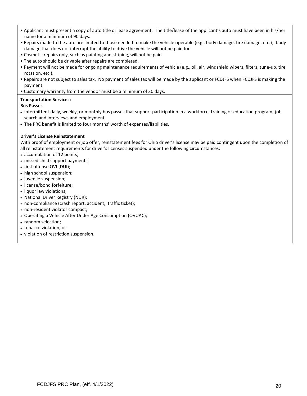- Applicant must present a copy of auto title or lease agreement. The title/lease of the applicant's auto must have been in his/her name for a minimum of 90 days.
- Repairs made to the auto are limited to those needed to make the vehicle operable (e.g., body damage, tire damage, etc.); body damage that does not interrupt the ability to drive the vehicle will not be paid for.
- Cosmetic repairs only, such as painting and striping, will not be paid.
- The auto should be drivable after repairs are completed.
- Payment will not be made for ongoing maintenance requirements of vehicle (e.g., oil, air, windshield wipers, filters, tune-up, tire rotation, etc.).
- Repairs are not subject to sales tax. No payment of sales tax will be made by the applicant or FCDJFS when FCDJFS is making the payment.
- Customary warranty from the vendor must be a minimum of 30 days.

#### **Transportation Services:**

#### **Bus Passes**

- Intermittent daily, weekly, or monthly bus passes that support participation in a workforce, training or education program; job search and interviews and employment.
- The PRC benefit is limited to four months' worth of expenses/liabilities.

#### **Driver's License Reinstatement**

With proof of employment or job offer, reinstatement fees for Ohio driver's license may be paid contingent upon the completion of all reinstatement requirements for driver's licenses suspended under the following circumstances:

- accumulation of 12 points;
- missed child support payments;
- first offense OVI (DUI);
- high school suspension;
- juvenile suspension;
- license/bond forfeiture;
- liquor law violations;
- National Driver Registry (NDR);
- non-compliance (crash report, accident, traffic ticket);
- non-resident violator compact;
- Operating a Vehicle After Under Age Consumption (OVUAC);
- random selection;
- tobacco violation; or
- violation of restriction suspension.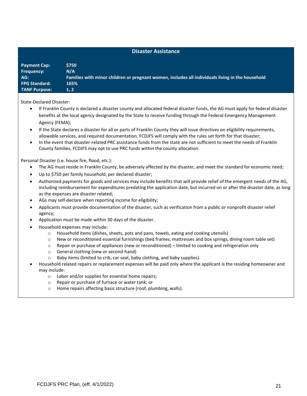#### **Disaster Assistance**

| <b>Payment Cap:</b>  | <b>S750</b>                                                                                      |
|----------------------|--------------------------------------------------------------------------------------------------|
| <b>Frequency:</b>    | N/A                                                                                              |
| AG:                  | Families with minor children or pregnant women, includes all individuals living in the household |
| <b>FPG Standard:</b> | 165%                                                                                             |
| <b>TANF Purpose:</b> | 1, 2                                                                                             |

State-Declared Disaster:

- If Franklin County is declared a disaster county and allocated federal disaster funds, the AG must apply for federal disaster benefits at the local agency designated by the State to receive funding through the Federal Emergency Management Agency (FEMA);
- If the State declares a disaster for all or parts of Franklin County they will issue directives on eligibility requirements, allowable services, and required documentation. FCDJFS will comply with the rules set forth for that disaster;
- In the event that disaster-related PRC assistance funds from the state are not sufficient to meet the needs of Franklin County families, FCDJFS may opt to use PRC funds within the county allocation.

Personal Disaster (i.e. house fire, flood, etc.):

- The AG must reside in Franklin County, be adversely affected by the disaster, and meet the standard for economic need;
- Up to \$750 per family household, per declared disaster;
- Authorized payments for goods and services may include benefits that will provide relief of the emergent needs of the AG, including reimbursement for expenditures predating the application date, but incurred on or after the disaster date, as long as the expenses are disaster related;
- AGs may self-declare when reporting income for eligibility;
- Applicants must provide documentation of the disaster, such as verification from a public or nonprofit disaster relief agency;
- Application must be made within 30 days of the disaster.
- Household expenses may include:
	- o Household items (dishes, sheets, pots and pans, towels, eating and cooking utensils)
	- o New or reconditioned essential furnishings (bed frames, mattresses and box springs, dining room table set)
	- $\circ$  Repair or purchase of appliances (new or reconditioned) limited to cooking and refrigeration only
	- o General clothing (new or second-hand)
	- o Baby items (limited to crib, car seat, baby clothing, and baby supplies).
- Household related repairs or replacement expenses will be paid only where the applicant is the residing homeowner and may include:
	- o Labor and/or supplies for essential home repairs;
	- o Repair or purchase of furnace or water tank; or
	- o Home repairs affecting basic structure (roof, plumbing, walls).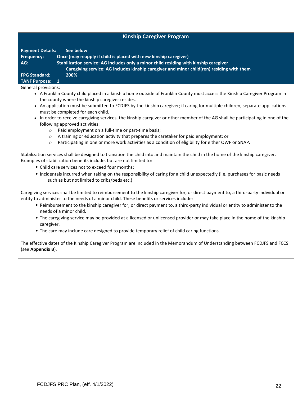| <b>Kinship Caregiver Program</b> |  |  |
|----------------------------------|--|--|
|----------------------------------|--|--|

**Payment Details: See below Frequency: Once (may reapply if child is placed with new kinship caregiver) AG: Stabilization service: AG includes only a minor child residing with kinship caregiver Caregiving service: AG includes kinship caregiver and minor child(ren) residing with them FPG Standard: 200%**

# **TANF Purpose: 1**

General provisions:

- A Franklin County child placed in a kinship home outside of Franklin County must access the Kinship Caregiver Program in the county where the kinship caregiver resides.
- An application must be submitted to FCDJFS by the kinship caregiver; if caring for multiple children, separate applications must be completed for each child.
- In order to receive caregiving services, the kinship caregiver or other member of the AG shall be participating in one of the following approved activities:
	- o Paid employment on a full-time or part-time basis;
	- o A training or education activity that prepares the caretaker for paid employment; or
	- o Participating in one or more work activities as a condition of eligibility for either OWF or SNAP.

Stabilization services shall be designed to transition the child into and maintain the child in the home of the kinship caregiver. Examples of stabilization benefits include, but are not limited to:

- Child care services not to exceed four months;
- Incidentals incurred when taking on the responsibility of caring for a child unexpectedly (i.e. purchases for basic needs such as but not limited to cribs/beds etc.)

Caregiving services shall be limited to reimbursement to the kinship caregiver for, or direct payment to, a third-party individual or entity to administer to the needs of a minor child. These benefits or services include:

- Reimbursement to the kinship caregiver for, or direct payment to, a third-party individual or entity to administer to the needs of a minor child.
- The caregiving service may be provided at a licensed or unlicensed provider or may take place in the home of the kinship caregiver.
- The care may include care designed to provide temporary relief of child caring functions.

The effective dates of the Kinship Caregiver Program are included in the Memorandum of Understanding between FCDJFS and FCCS (see **Appendix B**).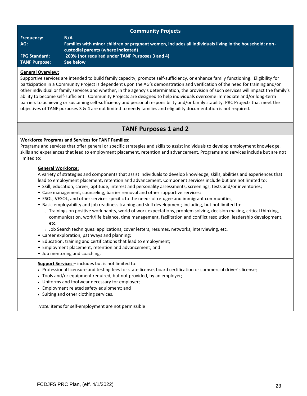| <b>Community Projects</b> |                                                                                                                                               |  |  |  |
|---------------------------|-----------------------------------------------------------------------------------------------------------------------------------------------|--|--|--|
| <b>Frequency:</b>         | N/A                                                                                                                                           |  |  |  |
| AG:                       | Families with minor children or pregnant women, includes all individuals living in the household; non-<br>custodial parents (where indicated) |  |  |  |
| <b>FPG Standard:</b>      | 200% (not required under TANF Purposes 3 and 4)                                                                                               |  |  |  |
| <b>TANF Purpose:</b>      | See below                                                                                                                                     |  |  |  |
|                           |                                                                                                                                               |  |  |  |

#### **General Overview:**

Supportive services are intended to build family capacity, promote self-sufficiency, or enhance family functioning. Eligibility for participation in a Community Project is dependent upon the AG's demonstration and verification of the need for training and/or other individual or family services and whether, in the agency's determination, the provision of such services will impact the family's ability to become self-sufficient. Community Projects are designed to help individuals overcome immediate and/or long-term barriers to achieving or sustaining self-sufficiency and personal responsibility and/or family stability. PRC Projects that meet the objectives of TANF purposes 3 & 4 are not limited to needy families and eligibility documentation is not required.

# **TANF Purposes 1 and 2**

#### **Workforce Programs and Services for TANF Families:**

Programs and services that offer general or specific strategies and skills to assist individuals to develop employment knowledge, skills and experiences that lead to employment placement, retention and advancement. Programs and services include but are not limited to:

#### **General Workforce:**

A variety of strategies and components that assist individuals to develop knowledge, skills, abilities and experiences that lead to employment placement, retention and advancement. Component services include but are not limited to:

- Skill, education, career, aptitude, interest and personality assessments, screenings, tests and/or inventories;
- Case management, counseling, barrier removal and other supportive services;
- ESOL, VESOL, and other services specific to the needs of refugee and immigrant communities;
- Basic employability and job readiness training and skill development; including, but not limited to:
	- <sup>o</sup> Trainings on positive work habits, world of work expectations, problem solving, decision making, critical thinking, communication, work/life balance, time management, facilitation and conflict resolution, leadership development, etc.
	- <sup>o</sup> Job Search techniques: applications, cover letters, resumes, networks, interviewing, etc.
- Career exploration, pathways and planning;
- Education, training and certifications that lead to employment;
- Employment placement, retention and advancement; and
- Job mentoring and coaching.

**Support Services** – includes but is not limited to:

- Professional licensure and testing fees for state license, board certification or commercial driver's license;
- Tools and/or equipment required, but not provided, by an employer;
- Uniforms and footwear necessary for employer;
- Employment related safety equipment; and
- Suiting and other clothing services.

*Note:* items for self-employment are not permissible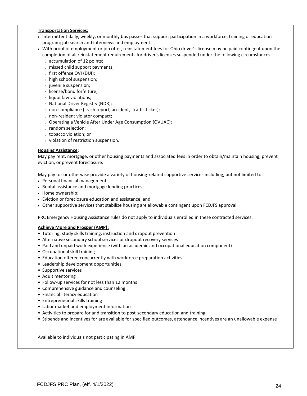#### **Transportation Services:**

- Intermittent daily, weekly, or monthly bus passes that support participation in a workforce, training or education program; job search and interviews and employment.
- With proof of employment or job offer, reinstatement fees for Ohio driver's license may be paid contingent upon the completion of all reinstatement requirements for driver's licenses suspended under the following circumstances:
	- <sup>o</sup> accumulation of 12 points;
	- <sup>o</sup> missed child support payments;
	- <sup>o</sup> first offense OVI (DUI);
	- <sup>o</sup> high school suspension;
	- <sup>o</sup> juvenile suspension;
	- <sup>o</sup> license/bond forfeiture;
	- <sup>o</sup> liquor law violations;
	- <sup>o</sup> National Driver Registry (NDR);
	- <sup>o</sup> non-compliance (crash report, accident, traffic ticket);
	- <sup>o</sup> non-resident violator compact;
	- <sup>o</sup> Operating a Vehicle After Under Age Consumption (OVUAC);
	- <sup>o</sup> random selection;
	- <sup>o</sup> tobacco violation; or
	- <sup>o</sup> violation of restriction suspension.

#### **Housing Assistance:**

May pay rent, mortgage, or other housing payments and associated fees in order to obtain/maintain housing, prevent eviction, or prevent foreclosure.

May pay for or otherwise provide a variety of housing-related supportive services including, but not limited to:

• Personal financial management;

- Rental assistance and mortgage lending practices;
- Home ownership;
- Eviction or foreclosure education and assistance; and
- Other supportive services that stabilize housing are allowable contingent upon FCDJFS approval.

PRC Emergency Housing Assistance rules do not apply to individuals enrolled in these contracted services.

#### **Achieve More and Prosper (AMP):**

- Tutoring, study skills training, instruction and dropout prevention
- Alternative secondary school services or dropout recovery services
- Paid and unpaid work experience (with an academic and occupational education component)
- Occupational skill training
- Education offered concurrently with workforce preparation activities
- Leadership development opportunities
- Supportive services
- Adult mentoring
- Follow-up services for not less than 12 months
- Comprehensive guidance and counseling
- Financial literacy education
- Entrepreneurial skills training
- Labor market and employment information
- Activities to prepare for and transition to post-secondary education and training
- Stipends and incentives for are available for specified outcomes, attendance incentives are an unallowable expense

Available to individuals not participating in AMP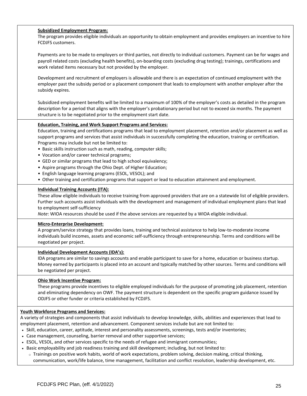#### **Subsidized Employment Program:**

The program provides eligible individuals an opportunity to obtain employment and provides employers an incentive to hire FCDJFS customers.

Payments are to be made to employers or third parties, not directly to individual customers. Payment can be for wages and payroll related costs (excluding health benefits), on-boarding costs (excluding drug testing); trainings, certifications and work related items necessary but not provided by the employer.

Development and recruitment of employers is allowable and there is an expectation of continued employment with the employer past the subsidy period or a placement component that leads to employment with another employer after the subsidy expires.

Subsidized employment benefits will be limited to a maximum of 100% of the employer's costs as detailed in the program description for a period that aligns with the employer's probationary period but not to exceed six months. The payment structure is to be negotiated prior to the employment start date.

#### **Education, Training, and Work Support Programs and Services:**

Education, training and certifications programs that lead to employment placement, retention and/or placement as well as support programs and services that assist individuals in successfully completing the education, training or certification. Programs may include but not be limited to:

- Basic skills instruction such as math, reading, computer skills;
- Vocation and/or career technical programs;
- GED or similar programs that lead to high school equivalency;
- Aspire programs through the Ohio Dept. of Higher Education;
- English language learning programs (ESOL, VESOL); and
- Other training and certification programs that support or lead to education attainment and employment.

#### **Individual Training Accounts (ITA):**

These allow eligible individuals to receive training from approved providers that are on a statewide list of eligible providers. Further such accounts assist individuals with the development and management of individual employment plans that lead to employment self-sufficiency

*Note*: WIOA resources should be used if the above services are requested by a WIOA eligible individual.

#### **Micro-Enterprise Development:**

A program/service strategy that provides loans, training and technical assistance to help low-to-moderate income individuals build incomes, assets and economic self-sufficiency through entrepreneurship. Terms and conditions will be negotiated per project.

#### **Individual Development Accounts (IDA's):**

IDA programs are similar to savings accounts and enable participant to save for a home, education or business startup. Money earned by participants is placed into an account and typically matched by other sources. Terms and conditions will be negotiated per project.

#### **Ohio Work Incentive Program:**

These programs provide incentives to eligible employed individuals for the purpose of promoting job placement, retention and eliminating dependency on OWF. The payment structure is dependent on the specific program guidance issued by ODJFS or other funder or criteria established by FCDJFS.

#### **Youth Workforce Programs and Services:**

A variety of strategies and components that assist individuals to develop knowledge, skills, abilities and experiences that lead to employment placement, retention and advancement. Component services include but are not limited to:

- Skill, education, career, aptitude, interest and personality assessments, screenings, tests and/or inventories;
- Case management, counseling, barrier removal and other supportive services;
- ESOL, VESOL, and other services specific to the needs of refugee and immigrant communities;
- Basic employability and job readiness training and skill development; including, but not limited to:
- <sup>o</sup> Trainings on positive work habits, world of work expectations, problem solving, decision making, critical thinking, communication, work/life balance, time management, facilitation and conflict resolution, leadership development, etc.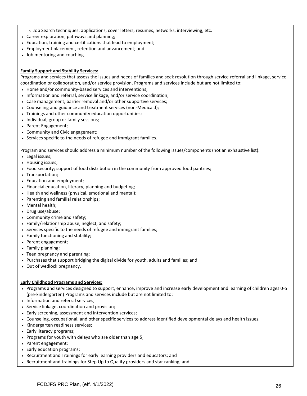- <sup>o</sup> Job Search techniques: applications, cover letters, resumes, networks, interviewing, etc.
- Career exploration, pathways and planning;
- Education, training and certifications that lead to employment;
- Employment placement, retention and advancement; and
- Job mentoring and coaching.

#### **Family Support and Stability Services:**

Programs and services that assess the issues and needs of families and seek resolution through service referral and linkage, service coordination or collaboration, and/or service provision. Programs and services include but are not limited to:

- Home and/or community-based services and interventions;
- Information and referral, service linkage, and/or service coordination;
- Case management, barrier removal and/or other supportive services;
- Counseling and guidance and treatment services (non-Medicaid);
- Trainings and other community education opportunities;
- Individual, group or family sessions;
- Parent Engagement;
- Community and Civic engagement;
- Services specific to the needs of refugee and immigrant families.

Program and services should address a minimum number of the following issues/components (not an exhaustive list):

- Legal issues;
- Housing issues;
- Food security; support of food distribution in the community from approved food pantries;
- Transportation;
- Education and employment;
- Financial education, literacy, planning and budgeting;
- Health and wellness (physical, emotional and mental);
- Parenting and familial relationships;
- Mental health;
- Drug use/abuse;
- Community crime and safety;
- Family/relationship abuse, neglect, and safety;
- Services specific to the needs of refugee and immigrant families;
- Family functioning and stability;
- Parent engagement;
- Family planning;
- Teen pregnancy and parenting;
- Purchases that support bridging the digital divide for youth, adults and families; and
- Out of wedlock pregnancy.

#### **Early Childhood Programs and Services:**

- Programs and services designed to support, enhance, improve and increase early development and learning of children ages 0-5 (pre-kindergarten) Programs and services include but are not limited to:
- Information and referral services;
- Service linkage, coordination and provision;
- Early screening, assessment and intervention services;
- Counseling, occupational, and other specific services to address identified developmental delays and health issues;
- Kindergarten readiness services;
- Early literacy programs;
- Programs for youth with delays who are older than age 5;
- Parent engagement;
- Early education programs;
- Recruitment and Trainings for early learning providers and educators; and
- Recruitment and trainings for Step Up to Quality providers and star ranking; and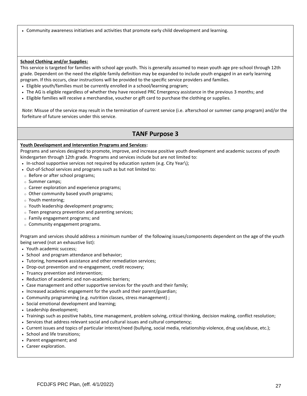• Community awareness initiatives and activities that promote early child development and learning.

#### **School Clothing and/or Supplies:**

This service is targeted for families with school age youth. This is generally assumed to mean youth age pre-school through 12th grade. Dependent on the need the eligible family definition may be expanded to include youth engaged in an early learning program. If this occurs, clear instructions will be provided to the specific service providers and families.

- Eligible youth/families must be currently enrolled in a school/learning program;
- The AG is eligible regardless of whether they have received PRC Emergency assistance in the previous 3 months; and
- Eligible families will receive a merchandise, voucher or gift card to purchase the clothing or supplies.

*Note:* Misuse of the service may result in the termination of current service (i.e. afterschool or summer camp program) and/or the forfeiture of future services under this service.

# **TANF Purpose 3**

#### **Youth Development and Intervention Programs and Services:**

Programs and services designed to promote, improve, and increase positive youth development and academic success of youth kindergarten through 12th grade. Programs and services include but are not limited to:

- In-school supportive services not required by education system (e.g. City Year\);
- Out-of-School services and programs such as but not limited to:
- <sup>o</sup> Before or after school programs;
- <sup>o</sup> Summer camps;
- <sup>o</sup> Career exploration and experience programs;
- <sup>o</sup> Other community based youth programs;
- <sup>o</sup> Youth mentoring;
- <sup>o</sup> Youth leadership development programs;
- $\circ$  Teen pregnancy prevention and parenting services;
- <sup>o</sup> Family engagement programs; and
- <sup>o</sup> Community engagement programs.

Program and services should address a minimum number of the following issues/components dependent on the age of the youth being served (not an exhaustive list):

- Youth academic success;
- School and program attendance and behavior;
- Tutoring, homework assistance and other remediation services;
- Drop-out prevention and re-engagement, credit recovery;
- Truancy prevention and intervention;
- Reduction of academic and non-academic barriers;
- Case management and other supportive services for the youth and their family;
- Increased academic engagement for the youth and their parent/guardian;
- Community programming (e.g. nutrition classes, stress management) ;
- Social emotional development and learning;
- Leadership development;
- Trainings such as positive habits, time management, problem solving, critical thinking, decision making, conflict resolution;
- Services that address relevant social and cultural issues and cultural competency;
- Current issues and topics of particular interest/need (bullying, social media, relationship violence, drug use/abuse, etc.);
- School and life transitions;
- Parent engagement; and
- Career exploration.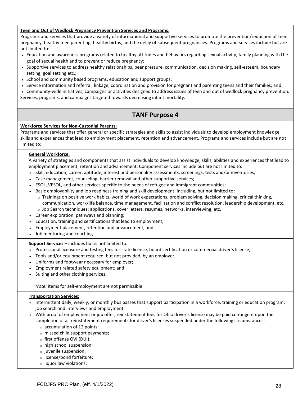#### **Teen and Out of Wedlock Pregnancy Prevention Services and Programs:**

Programs and services that provide a variety of informational and supportive services to promote the prevention/reduction of teen pregnancy, healthy teen parenting, healthy births, and the delay of subsequent pregnancies. Programs and services include but are not limited to:

- Education and awareness programs related to healthy attitudes and behaviors regarding sexual activity, family planning with the goal of sexual health and to prevent or reduce pregnancy;
- Supportive services to address healthy relationships, peer pressure, communication, decision making, self-esteem, boundary setting, goal setting etc.;
- School and community based programs, education and support groups;
- Service information and referral, linkage, coordination and provision for pregnant and parenting teens and their families; and
- Community-wide initiatives, campaigns or activities designed to address issues of teen and out of wedlock pregnancy prevention.
- Services, programs, and campaigns targeted towards decreasing infant mortality.

# **TANF Purpose 4**

#### **Workforce Services for Non-Custodial Parents:**

Programs and services that offer general or specific strategies and skills to assist individuals to develop employment knowledge, skills and experiences that lead to employment placement, retention and advancement. Programs and services include but are not limited to:

#### **General Workforce:**

A variety of strategies and components that assist individuals to develop knowledge, skills, abilities and experiences that lead to employment placement, retention and advancement. Component services include but are not limited to:

- Skill, education, career, aptitude, interest and personality assessments, screenings, tests and/or inventories;
- Case management, counseling, barrier removal and other supportive services;
- ESOL, VESOL, and other services specific to the needs of refugee and immigrant communities;
- Basic employability and job readiness training and skill development; including, but not limited to:
	- <sup>o</sup> Trainings on positive work habits, world of work expectations, problem solving, decision making, critical thinking, communication, work/life balance, time management, facilitation and conflict resolution, leadership development, etc.
	- <sup>o</sup> Job Search techniques: applications, cover letters, resumes, networks, interviewing, etc.
- Career exploration, pathways and planning;
- Education, training and certifications that lead to employment;
- Employment placement, retention and advancement; and
- Job mentoring and coaching.

#### **Support Services** – includes but is not limited to**:**

- Professional licensure and testing fees for state license, board certification or commercial driver's license;
- Tools and/or equipment required, but not provided, by an employer;
- Uniforms and footwear necessary for employer;
- Employment related safety equipment; and
- Suiting and other clothing services.

#### *Note:* items for self-employment are not permissible

#### **Transportation Services:**

- Intermittent daily, weekly, or monthly bus passes that support participation in a workforce, training or education program; job search and interviews and employment.
- With proof of employment or job offer, reinstatement fees for Ohio driver's license may be paid contingent upon the completion of all reinstatement requirements for driver's licenses suspended under the following circumstances:
	- <sup>o</sup> accumulation of 12 points;
	- <sup>o</sup> missed child support payments;
	- <sup>o</sup> first offense OVI (DUI);
	- <sup>o</sup> high school suspension;
	- <sup>o</sup> juvenile suspension;
	- <sup>o</sup> license/bond forfeiture;
	- <sup>o</sup> liquor law violations;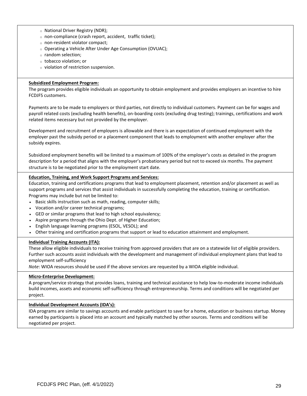- <sup>o</sup> National Driver Registry (NDR);
- <sup>o</sup> non-compliance (crash report, accident, traffic ticket);
- <sup>o</sup> non-resident violator compact;
- <sup>o</sup> Operating a Vehicle After Under Age Consumption (OVUAC);
- <sup>o</sup> random selection;
- <sup>o</sup> tobacco violation; or
- <sup>o</sup> violation of restriction suspension.

#### **Subsidized Employment Program:**

The program provides eligible individuals an opportunity to obtain employment and provides employers an incentive to hire FCDJFS customers.

Payments are to be made to employers or third parties, not directly to individual customers. Payment can be for wages and payroll related costs (excluding health benefits), on-boarding costs (excluding drug testing); trainings, certifications and work related items necessary but not provided by the employer.

Development and recruitment of employers is allowable and there is an expectation of continued employment with the employer past the subsidy period or a placement component that leads to employment with another employer after the subsidy expires.

Subsidized employment benefits will be limited to a maximum of 100% of the employer's costs as detailed in the program description for a period that aligns with the employer's probationary period but not to exceed six months. The payment structure is to be negotiated prior to the employment start date.

#### **Education, Training, and Work Support Programs and Services:**

Education, training and certifications programs that lead to employment placement, retention and/or placement as well as support programs and services that assist individuals in successfully completing the education, training or certification. Programs may include but not be limited to:

- Basic skills instruction such as math, reading, computer skills;
- Vocation and/or career technical programs;
- GED or similar programs that lead to high school equivalency;
- Aspire programs through the Ohio Dept. of Higher Education;
- English language learning programs (ESOL, VESOL); and
- Other training and certification programs that support or lead to education attainment and employment.

#### **Individual Training Accounts (ITA):**

These allow eligible individuals to receive training from approved providers that are on a statewide list of eligible providers. Further such accounts assist individuals with the development and management of individual employment plans that lead to employment self-sufficiency

*Note*: WIOA resources should be used if the above services are requested by a WIOA eligible individual.

#### **Micro-Enterprise Development:**

A program/service strategy that provides loans, training and technical assistance to help low-to-moderate income individuals build incomes, assets and economic self-sufficiency through entrepreneurship. Terms and conditions will be negotiated per project.

#### **Individual Development Accounts (IDA's):**

IDA programs are similar to savings accounts and enable participant to save for a home, education or business startup. Money earned by participants is placed into an account and typically matched by other sources. Terms and conditions will be negotiated per project.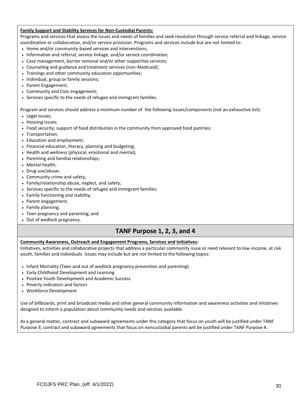#### **Family Support and Stability Services for Non-Custodial Parents:**

Programs and services that assess the issues and needs of families and seek resolution through service referral and linkage, service coordination or collaboration, and/or service provision. Programs and services include but are not limited to:

- Home and/or community-based services and interventions;
- Information and referral, service linkage, and/or service coordination;
- Case management, barrier removal and/or other supportive services;
- Counseling and guidance and treatment services (non-Medicaid);
- Trainings and other community education opportunities;
- Individual, group or family sessions;
- Parent Engagement;
- Community and Civic engagement;
- Services specific to the needs of refugee and immigrant families.

Program and services should address a minimum number of the following issues/components (not an exhaustive list):

- Legal issues;
- Housing issues;
- Food security; support of food distribution in the community from approved food pantries;
- Transportation;
- Education and employment;
- Financial education, literacy, planning and budgeting;
- Health and wellness (physical, emotional and mental);
- Parenting and familial relationships;
- Mental health;
- Drug use/abuse;
- Community crime and safety;
- Family/relationship abuse, neglect, and safety;
- Services specific to the needs of refugee and immigrant families;
- Family functioning and stability;
- Parent engagement;
- Family planning;
- Teen pregnancy and parenting; and
- Out of wedlock pregnancy.

# **TANF Purpose 1, 2, 3, and 4**

#### **Community Awareness, Outreach and Engagement Programs, Services and Initiatives:**

Initiatives, activities and collaborative projects that address a particular community issue or need relevant to low-income, at risk youth, families and individuals. Issues may include but are not limited to the following topics:

- Infant Mortality (Teen and out of wedlock pregnancy prevention and parenting)
- Early Childhood Development and Learning
- Positive Youth Development and Academic Success
- Poverty indicators and factors
- Workforce Development

Use of billboards, print and broadcast media and other general community information and awareness activities and initiatives designed to inform a population about community needs and services available.

As a general matter, contract and subaward agreements under this category that focus on youth will be justified under TANF Purpose 3; contract and subaward agreements that focus on noncustodial parents will be justified under TANF Purpose 4.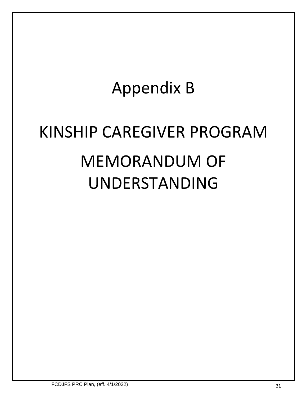# Appendix B

# KINSHIP CAREGIVER PROGRAM MEMORANDUM OF UNDERSTANDING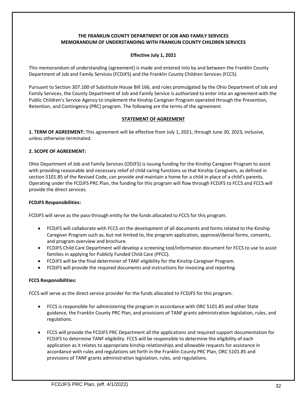#### **THE FRANKLIN COUNTY DEPARTMENT OF JOB AND FAMILY SERVICES MEMORANDUM OF UNDERSTANDING WITH FRANKLIN COUNTY CHILDREN SERVICES**

### **Effective July 1, 2021**

This memorandum of understanding (agreement) is made and entered into by and between the Franklin County Department of Job and Family Services (FCDJFS) and the Franklin County Children Services (FCCS).

Pursuant to Section 307.100 of Substitute House Bill 166, and rules promulgated by the Ohio Department of Job and Family Services, the County Department of Job and Family Service is authorized to enter into an agreement with the Public Children's Service Agency to implement the Kinship Caregiver Program operated through the Prevention, Retention, and Contingency (PRC) program. The following are the terms of the agreement.

#### **STATEMENT OF AGREEMENT**

**1. TERM OF AGREEMENT:** This agreement will be effective from July 1, 2021, through June 30, 2023, inclusive, unless otherwise terminated.

#### **2. SCOPE OF AGREEMENT:**

Ohio Department of Job and Family Services (ODJFS) is issuing funding for the Kinship Caregiver Program to assist with providing reasonable and necessary relief of child caring functions so that Kinship Caregivers, as defined in section 5101.85 of the Revised Code, can provide and maintain a home for a child in place of a child's parents. Operating under the FCDJFS PRC Plan, the funding for this program will flow through FCDJFS to FCCS and FCCS will provide the direct services.

#### **FCDJFS Responsibilities:**

FCDJFS will serve as the pass-through entity for the funds allocated to FCCS for this program.

- FCDJFS will collaborate with FCCS on the development of all documents and forms related to the Kinship Caregiver Program such as, but not limited to, the program application, approval/denial forms, consents, and program overview and brochure.
- FCDJFS Child Care Department will develop a screening tool/information document for FCCS to use to assist families in applying for Publicly Funded Child Care (PFCC).
- FCDJFS will be the final determiner of TANF eligibility for the Kinship Caregiver Program.
- FCDJFS will provide the required documents and instructions for invoicing and reporting.

#### **FCCS Responsibilities:**

FCCS will serve as the direct service provider for the funds allocated to FCDJFS for this program.

- FCCS is responsible for administering the program in accordance with ORC 5101.85 and other State guidance, the Franklin County PRC Plan, and provisions of TANF grants administration legislation, rules, and regulations.
- FCCS will provide the FCDJFS PRC Department all the applications and required support documentation for FCDJFS to determine TANF eligibility. FCCS will be responsible to determine the eligibility of each application as it relates to appropriate kinship relationships and allowable requests for assistance in accordance with rules and regulations set forth in the Franklin County PRC Plan, ORC 5101.85 and provisions of TANF grants administration legislation, rules, and regulations.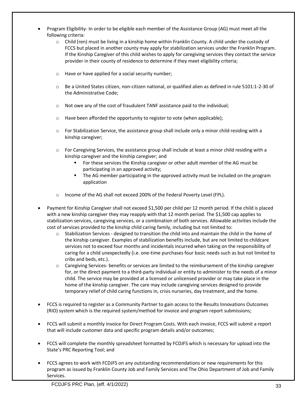- Program Eligibility- In order to be eligible each member of the Assistance Group (AG) must meet all the following criteria:
	- $\circ$  Child (ren) must be living in a kinship home within Franklin County. A child under the custody of FCCS but placed in another county may apply for stabilization services under the Franklin Program. If the Kinship Caregiver of this child wishes to apply for caregiving services they contact the service provider in their county of residence to determine if they meet eligibility criteria;
	- o Have or have applied for a social security number;
	- o Be a United States citizen, non-citizen national, or qualified alien as defined in rule 5101:1-2-30 of the Administrative Code;
	- $\circ$  Not owe any of the cost of fraudulent TANF assistance paid to the individual;
	- o Have been afforded the opportunity to register to vote (when applicable);
	- $\circ$  For Stabilization Service, the assistance group shall include only a minor child residing with a kinship caregiver;
	- $\circ$  For Caregiving Services, the assistance group shall include at least a minor child residing with a kinship caregiver and the kinship caregiver; and
		- For these services the Kinship caregiver or other adult member of the AG must be participating in an approved activity;
		- **■** The AG member participating in the approved activity must be included on the program application
	- o Income of the AG shall not exceed 200% of the Federal Poverty Level (FPL).
- Payment for Kinship Caregiver shall not exceed \$1,500 per child per 12 month period. If the child is placed with a new kinship caregiver they may reapply with that 12 month period. The \$1,500 cap applies to stabilization services, caregiving services, or a combination of both services. Allowable activities include the cost of services provided to the kinship child caring family, including but not limited to:
	- $\circ$  Stabilization Services designed to transition the child into and maintain the child in the home of the kinship caregiver. Examples of stabilization benefits include, but are not limited to childcare services not to exceed four months and incidentals incurred when taking on the responsibility of caring for a child unexpectedly (i.e. one-time purchases four basic needs such as but not limited to cribs and beds, etc.).
	- o Caregiving Services- benefits or services are limited to the reimbursement of the kinship caregiver for, or the direct payment to a third-party individual or entity to administer to the needs of a minor child. The service may be provided at a licensed or unlicensed provider or may take place in the home of the kinship caregiver. The care may include caregiving services designed to provide temporary relief of child caring functions in, crisis nurseries, day treatment, and the home.
- FCCS is required to register as a Community Partner to gain access to the Results Innovations Outcomes (RIO) system which is the required system/method for invoice and program report submissions;
- FCCS will submit a monthly invoice for Direct Program Costs. With each invoice, FCCS will submit a report that will include customer data and specific program details and/or outcomes;
- FCCS will complete the monthly spreadsheet formatted by FCDJFS which is necessary for upload into the State's PRC Reporting Tool; and
- FCCS agrees to work with FCDJFS on any outstanding recommendations or new requirements for this program as issued by Franklin County Job and Family Services and The Ohio Department of Job and Family Services.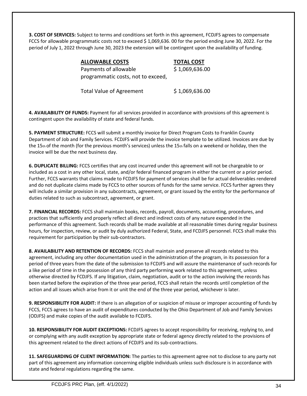**3. COST OF SERVICES:** Subject to terms and conditions set forth in this agreement, FCDJFS agrees to compensate FCCS for allowable programmatic costs not to exceed \$ 1,069,636. 00 for the period ending June 30, 2022. For the period of July 1, 2022 through June 30, 2023 the extension will be contingent upon the availability of funding.

| <b>ALLOWABLE COSTS</b>             | <b>TOTAL COST</b> |
|------------------------------------|-------------------|
| Payments of allowable              | \$1,069,636.00    |
| programmatic costs, not to exceed, |                   |
| <b>Total Value of Agreement</b>    | \$1,069,636.00    |

**4. AVAILABILITY OF FUNDS:** Payment for all services provided in accordance with provisions of this agreement is contingent upon the availability of state and federal funds.

**5. PAYMENT STRUCTURE:** FCCS will submit a monthly invoice for Direct Program Costs to Franklin County Department of Job and Family Services. FCDJFS will provide the invoice template to be utilized. Invoices are due by the 15th of the month (for the previous month's services) unless the 15th falls on a weekend or holiday, then the invoice will be due the next business day.

**6. DUPLICATE BILLING:** FCCS certifies that any cost incurred under this agreement will not be chargeable to or included as a cost in any other local, state, and/or federal financed program in either the current or a prior period. Further, FCCS warrants that claims made to FCDJFS for payment of services shall be for actual deliverables rendered and do not duplicate claims made by FCCS to other sources of funds for the same service. FCCS further agrees they will include a similar provision in any subcontracts, agreement, or grant issued by the entity for the performance of duties related to such as subcontract, agreement, or grant.

**7. FINANCIAL RECORDS:** FCCS shall maintain books, records, payroll, documents, accounting, procedures, and practices that sufficiently and properly reflect all direct and indirect costs of any nature expended in the performance of this agreement. Such records shall be made available at all reasonable times during regular business hours, for inspection, review, or audit by duly authorized Federal, State, and FCDJFS personnel. FCCS shall make this requirement for participation by their sub-contractors.

**8. AVAILABILITY AND RETENTION OF RECORDS:** FCCS shall maintain and preserve all records related to this agreement, including any other documentation used in the administration of the program, in its possession for a period of three years from the date of the submission to FCDJFS and will assure the maintenance of such records for a like period of time in the possession of any third party performing work related to this agreement, unless otherwise directed by FCDJFS. If any litigation, claim, negotiation, audit or to the action involving the records has been started before the expiration of the three year period, FCCS shall retain the records until completion of the action and all issues which arise from it or unit the end of the three year period, whichever is later.

**9. RESPONSIBILITY FOR AUDIT:** If there is an allegation of or suspicion of misuse or improper accounting of funds by FCCS, FCCS agrees to have an audit of expenditures conducted by the Ohio Department of Job and Family Services (ODJFS) and make copies of the audit available to FCDJFS.

**10. RESPONSIBILITY FOR AUDIT EXCEPTIONS:** FCDJFS agrees to accept responsibility for receiving, replying to, and or complying with any audit exception by appropriate state or federal agency directly related to the provisions of this agreement related to the direct actions of FCDJFS and its sub-contractions.

**11. SAFEGUARDING OF CLIENT INFORMATION:** The parties to this agreement agree not to disclose to any party not part of this agreement any information concerning eligible individuals unless such disclosure is in accordance with state and federal regulations regarding the same.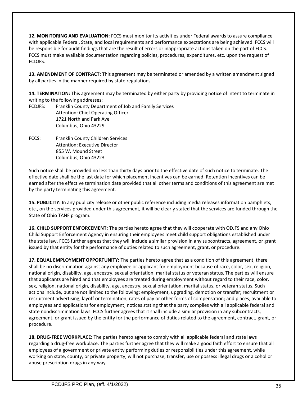**12. MONITORING AND EVALUATION:** FCCS must monitor its activities under Federal awards to assure compliance with applicable Federal, State, and local requirements and performance expectations are being achieved. FCCS will be responsible for audit findings that are the result of errors or inappropriate actions taken on the part of FCCS. FCCS must make available documentation regarding policies, procedures, expenditures, etc. upon the request of FCDJFS.

**13. AMENDMENT OF CONTRACT:** This agreement may be terminated or amended by a written amendment signed by all parties in the manner required by state regulations.

**14. TERMINATION:** This agreement may be terminated by either party by providing notice of intent to terminate in writing to the following addresses:

FCDJFS: Franklin County Department of Job and Family Services Attention: Chief Operating Officer 1721 Northland Park Ave Columbus, Ohio 43229

FCCS: Franklin County Children Services Attention: Executive Director 855 W. Mound Street Columbus, Ohio 43223

Such notice shall be provided no less than thirty days prior to the effective date of such notice to terminate. The effective date shall be the last date for which placement incentives can be earned. Retention incentives can be earned after the effective termination date provided that all other terms and conditions of this agreement are met by the party terminating this agreement.

**15. PUBLICITY:** In any publicity release or other public reference including media releases information pamphlets, etc., on the services provided under this agreement, it will be clearly stated that the services are funded through the State of Ohio TANF program.

**16. CHILD SUPPORT ENFORCEMENT:** The parties hereto agree that they will cooperate with ODJFS and any Ohio Child Support Enforcement Agency in ensuring their employees meet child support obligations established under the state law. FCCS further agrees that they will include a similar provision in any subcontracts, agreement, or grant issued by that entity for the performance of duties related to such agreement, grant, or procedure.

**17. EQUAL EMPLOYMENT OPPORTUNITY:** The parties hereto agree that as a condition of this agreement, there shall be no discrimination against any employee or applicant for employment because of race, color, sex, religion, national origin, disability, age, ancestry, sexual orientation, marital status or veteran status. The parties will ensure that applicants are hired and that employees are treated during employment without regard to their race, color, sex, religion, national origin, disability, age, ancestry, sexual orientation, marital status, or veteran status. Such actions include, but are not limited to the following: employment, upgrading, demotion or transfer; recruitment or recruitment advertising; layoff or termination; rates of pay or other forms of compensation; and places; available to employees and applications for employment, notices stating that the party complies with all applicable federal and state nondiscrimination laws. FCCS further agrees that it shall include a similar provision in any subcontracts, agreement, or grant issued by the entity for the performance of duties related to the agreement, contract, grant, or procedure.

**18. DRUG-FREE WORKPLACE:** The parties hereto agree to comply with all applicable federal and state laws regarding a drug-free workplace. The parties further agree that they will make a good faith effort to ensure that all employees of a government or private entity performing duties or responsibilities under this agreement, while working on state, county, or private property, will not purchase, transfer, use or possess illegal drugs or alcohol or abuse prescription drugs in any way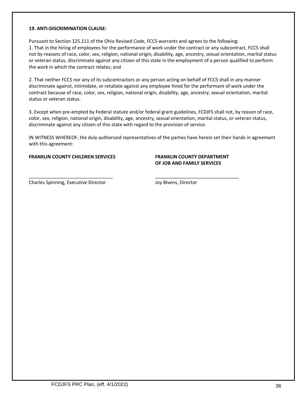#### **19. ANTI-DISCRIMINATION CLAUSE:**

Pursuant to Section 125.111 of the Ohio Revised Code, FCCS warrants and agrees to the following: 1. That in the hiring of employees for the performance of work under the contract or any subcontract, FCCS shall not by reasons of race, color, sex, religion, national origin, disability, age, ancestry, sexual orientation, marital status or veteran status, discriminate against any citizen of this state in the employment of a person qualified to perform the work in which the contract relates; and

2. That neither FCCS nor any of its subcontractors or any person acting on behalf of FCCS shall in any manner discriminate against, intimidate, or retaliate against any employee hired for the performant of work under the contract because of race, color, sex, religion, national origin, disability, age, ancestry, sexual orientation, marital status or veteran status.

3. Except when pre-empted by Federal statute and/or federal grant guidelines, FCDJFS shall not, by reason of race, color, sex, religion, national origin, disability, age, ancestry, sexual orientation, marital status, or veteran status, discriminate against any citizen of this state with regard to the provision of service.

IN WITNESS WHEREOF, the duly authorized representatives of the parties have herein set their hands in agreement with this agreement:

\_\_\_\_\_\_\_\_\_\_\_\_\_\_\_\_\_\_\_\_\_\_\_\_\_\_\_\_\_\_\_\_ \_\_\_\_\_\_\_\_\_\_\_\_\_\_\_\_\_\_\_\_\_\_\_\_\_\_\_\_\_\_\_\_

#### **FRANKLIN COUNTY CHILDREN SERVICES FRANKLIN COUNTY DEPARTMENT**

# **OF JOB AND FAMILY SERVICES**

Charles Spinning, Executive Director **Grating** Joy Bivens, Director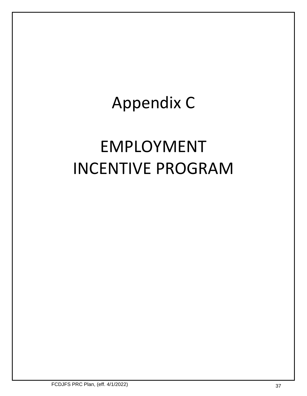# Appendix C

# EMPLOYMENT INCENTIVE PROGRAM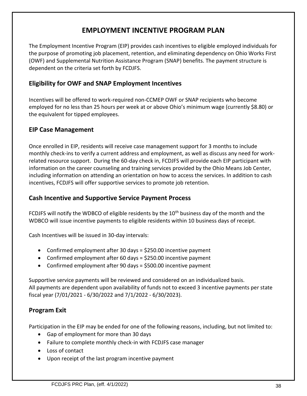# **EMPLOYMENT INCENTIVE PROGRAM PLAN**

The Employment Incentive Program (EIP) provides cash incentives to eligible employed individuals for the purpose of promoting job placement, retention, and eliminating dependency on Ohio Works First (OWF) and Supplemental Nutrition Assistance Program (SNAP) benefits. The payment structure is dependent on the criteria set forth by FCDJFS.

# **Eligibility for OWF and SNAP Employment Incentives**

Incentives will be offered to work-required non-CCMEP OWF or SNAP recipients who become employed for no less than 25 hours per week at or above Ohio's minimum wage (currently \$8.80) or the equivalent for tipped employees.

# **EIP Case Management**

Once enrolled in EIP, residents will receive case management support for 3 months to include monthly check-ins to verify a current address and employment, as well as discuss any need for workrelated resource support. During the 60-day check in, FCDJFS will provide each EIP participant with information on the career counseling and training services provided by the Ohio Means Job Center, including information on attending an orientation on how to access the services. In addition to cash incentives, FCDJFS will offer supportive services to promote job retention.

# **Cash Incentive and Supportive Service Payment Process**

FCDJFS will notify the WDBCO of eligible residents by the  $10<sup>th</sup>$  business day of the month and the WDBCO will issue incentive payments to eligible residents within 10 business days of receipt.

Cash Incentives will be issued in 30-day intervals:

- Confirmed employment after 30 days = \$250.00 incentive payment
- Confirmed employment after 60 days = \$250.00 incentive payment
- Confirmed employment after 90 days = \$500.00 incentive payment

Supportive service payments will be reviewed and considered on an individualized basis. All payments are dependent upon availability of funds not to exceed 3 incentive payments per state fiscal year (7/01/2021 - 6/30/2022 and 7/1/2022 - 6/30/2023).

# **Program Exit**

Participation in the EIP may be ended for one of the following reasons, including, but not limited to:

- Gap of employment for more than 30 days
- Failure to complete monthly check-in with FCDJFS case manager
- Loss of contact
- Upon receipt of the last program incentive payment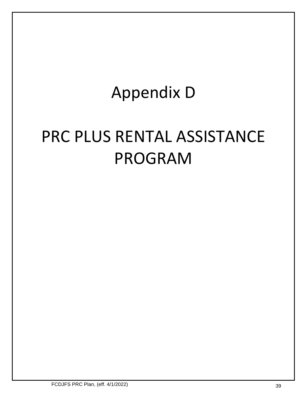# Appendix D

# PRC PLUS RENTAL ASSISTANCE PROGRAM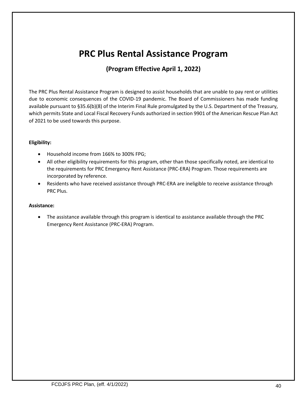# **PRC Plus Rental Assistance Program**

# **(Program Effective April 1, 2022)**

The PRC Plus Rental Assistance Program is designed to assist households that are unable to pay rent or utilities due to economic consequences of the COVID-19 pandemic. The Board of Commissioners has made funding available pursuant to §35.6(b)(8) of the Interim Final Rule promulgated by the U.S. Department of the Treasury, which permits State and Local Fiscal Recovery Funds authorized in section 9901 of the American Rescue Plan Act of 2021 to be used towards this purpose.

### **Eligibility:**

- Household income from 166% to 300% FPG;
- All other eligibility requirements for this program, other than those specifically noted, are identical to the requirements for PRC Emergency Rent Assistance (PRC-ERA) Program. Those requirements are incorporated by reference.
- Residents who have received assistance through PRC-ERA are ineligible to receive assistance through PRC Plus.

#### **Assistance:**

• The assistance available through this program is identical to assistance available through the PRC Emergency Rent Assistance (PRC-ERA) Program.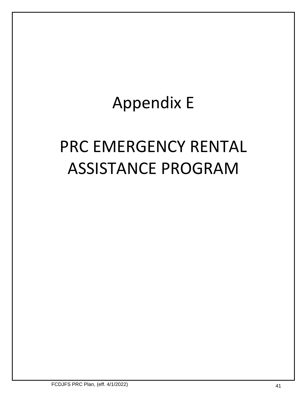# Appendix E

# PRC EMERGENCY RENTAL ASSISTANCE PROGRAM